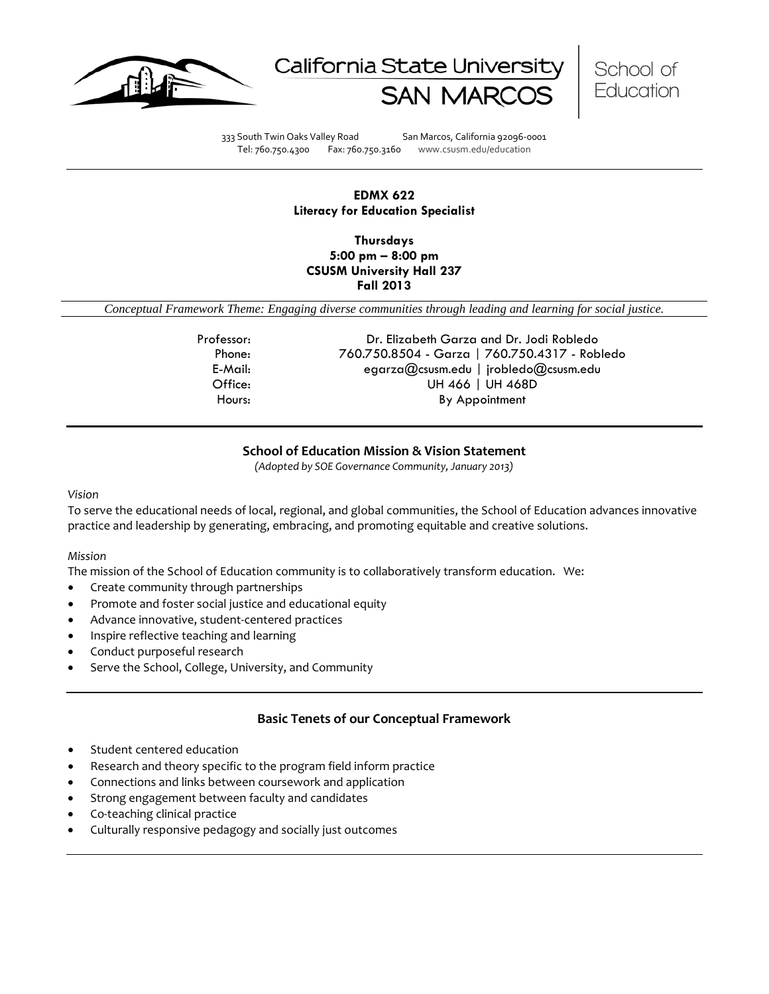





333 South Twin Oaks Valley Road San Marcos, California 92096-0001 Tel: 760.750.4300 Fax: 760.750.3160 www.csusm.edu/education

### **EDMX 622 Literacy for Education Specialist**

**Thursdays 5:00 pm – 8:00 pm CSUSM University Hall 237 Fall 2013** 

<span id="page-0-0"></span>*Conceptual Framework Theme: Engaging diverse communities through leading and learning for social justice.*

Professor: Dr. Elizabeth Garza and Dr. Jodi Robledo Phone: 760.750.8504 - Garza | 760.750.4317 - Robledo E-Mail: egarza@csusm.edu | jrobledo@csusm.edu Office: UH 466 | UH 468D Hours: By Appointment

### **School of Education Mission & Vision Statement**

*(Adopted by SOE Governance Community, January 2013)*

#### <span id="page-0-1"></span>*Vision*

To serve the educational needs of local, regional, and global communities, the School of Education advances innovative practice and leadership by generating, embracing, and promoting equitable and creative solutions.

#### *Mission*

The mission of the School of Education community is to collaboratively transform education. We:

- Create community through partnerships
- Promote and foster social justice and educational equity
- Advance innovative, student-centered practices
- Inspire reflective teaching and learning
- Conduct purposeful research
- Serve the School, College, University, and Community

### **Basic Tenets of our Conceptual Framework**

- <span id="page-0-2"></span>Student centered education
- Research and theory specific to the program field inform practice
- Connections and links between coursework and application
- Strong engagement between faculty and candidates
- Co-teaching clinical practice
- Culturally responsive pedagogy and socially just outcomes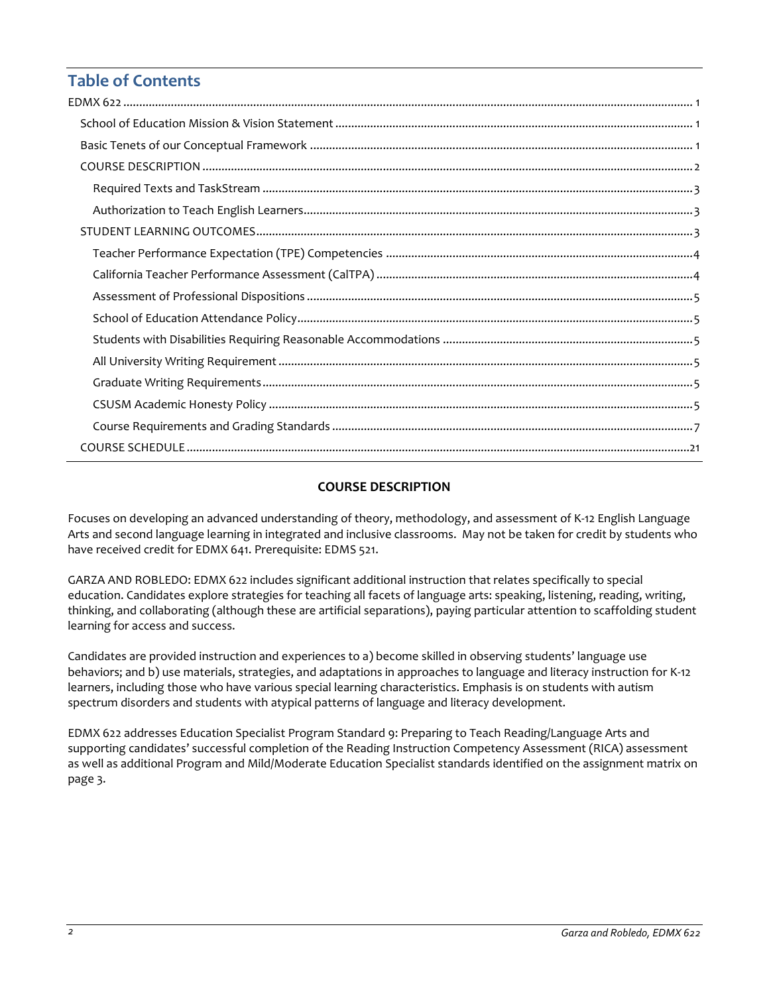# **Table of Contents**

## **COURSE DESCRIPTION**

<span id="page-1-0"></span>Focuses on developing an advanced understanding of theory, methodology, and assessment of K-12 English Language Arts and second language learning in integrated and inclusive classrooms. May not be taken for credit by students who have received credit for EDMX 641. Prerequisite: EDMS 521.

GARZA AND ROBLEDO: EDMX 622 includes significant additional instruction that relates specifically to special education. Candidates explore strategies for teaching all facets of language arts: speaking, listening, reading, writing, thinking, and collaborating (although these are artificial separations), paying particular attention to scaffolding student learning for access and success.

Candidates are provided instruction and experiences to a) become skilled in observing students' language use behaviors; and b) use materials, strategies, and adaptations in approaches to language and literacy instruction for K-12 learners, including those who have various special learning characteristics. Emphasis is on students with autism spectrum disorders and students with atypical patterns of language and literacy development.

<span id="page-1-1"></span>EDMX 622 addresses Education Specialist Program Standard 9: Preparing to Teach Reading/Language Arts and supporting candidates' successful completion of the Reading Instruction Competency Assessment (RICA) assessment as well as additional Program and Mild/Moderate Education Specialist standards identified on the assignment matrix on page 3.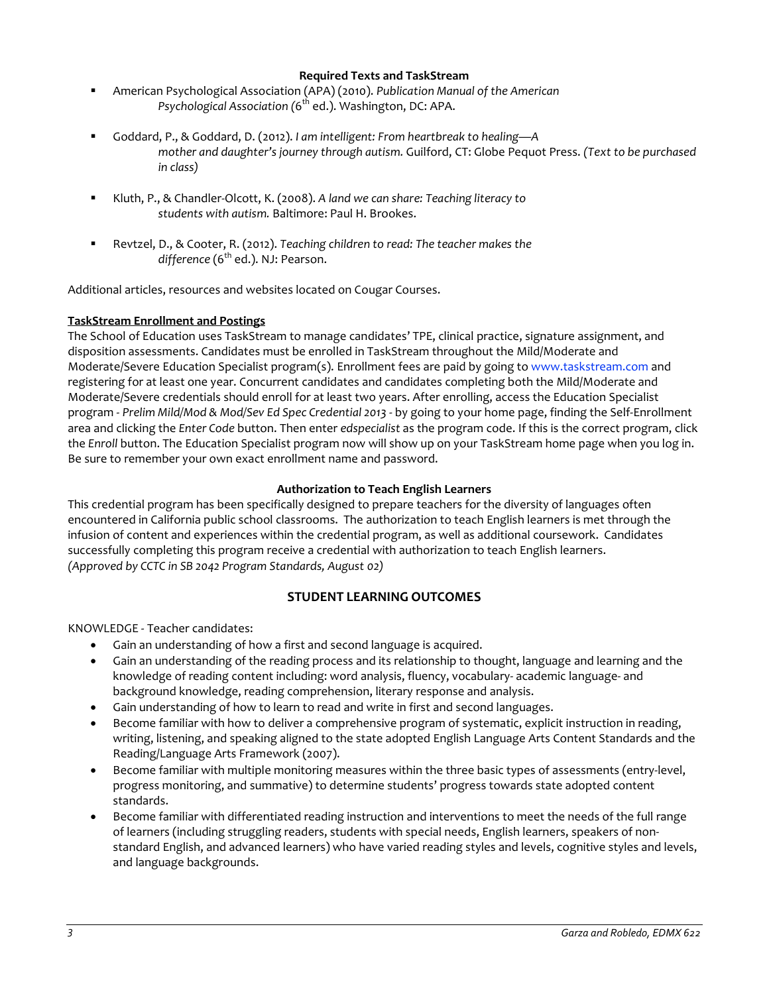### **Required Texts and TaskStream**

- American Psychological Association (APA) (2010). *Publication Manual of the American Psychological Association (*6th ed.). Washington, DC: APA.
- Goddard, P., & Goddard, D. (2012). *I am intelligent: From heartbreak to healing—A mother and daughter's journey through autism.* Guilford, CT: Globe Pequot Press. *(Text to be purchased in class)*
- Kluth, P., & Chandler-Olcott, K. (2008). *A land we can share: Teaching literacy to students with autism.* Baltimore: Paul H. Brookes.
- Revtzel, D., & Cooter, R. (2012). *Teaching children to read: The teacher makes the* difference (6<sup>th</sup> ed.). NJ: Pearson.

Additional articles, resources and websites located on Cougar Courses.

### **TaskStream Enrollment and Postings**

The School of Education uses TaskStream to manage candidates' TPE, clinical practice, signature assignment, and disposition assessments. Candidates must be enrolled in TaskStream throughout the Mild/Moderate and Moderate/Severe Education Specialist program(s). Enrollment fees are paid by going to [www.taskstream.com](http://www.taskstrem.com/) and registering for at least one year. Concurrent candidates and candidates completing both the Mild/Moderate and Moderate/Severe credentials should enroll for at least two years. After enrolling, access the Education Specialist program - *Prelim Mild/Mod & Mod/Sev Ed Spec Credential 2013* - by going to your home page, finding the Self-Enrollment area and clicking the *Enter Code* button. Then enter *edspecialist* as the program code. If this is the correct program, click the *Enroll* button. The Education Specialist program now will show up on your TaskStream home page when you log in. Be sure to remember your own exact enrollment name and password.

### **Authorization to Teach English Learners**

<span id="page-2-0"></span>This credential program has been specifically designed to prepare teachers for the diversity of languages often encountered in California public school classrooms. The authorization to teach English learners is met through the infusion of content and experiences within the credential program, as well as additional coursework. Candidates successfully completing this program receive a credential with authorization to teach English learners. *(Approved by CCTC in SB 2042 Program Standards, August 02)*

### **STUDENT LEARNING OUTCOMES**

<span id="page-2-1"></span>KNOWLEDGE - Teacher candidates:

- Gain an understanding of how a first and second language is acquired.
- Gain an understanding of the reading process and its relationship to thought, language and learning and the knowledge of reading content including: word analysis, fluency, vocabulary- academic language- and background knowledge, reading comprehension, literary response and analysis.
- Gain understanding of how to learn to read and write in first and second languages.
- Become familiar with how to deliver a comprehensive program of systematic, explicit instruction in reading, writing, listening, and speaking aligned to the state adopted English Language Arts Content Standards and the Reading/Language Arts Framework (2007).
- Become familiar with multiple monitoring measures within the three basic types of assessments (entry-level, progress monitoring, and summative) to determine students' progress towards state adopted content standards.
- Become familiar with differentiated reading instruction and interventions to meet the needs of the full range of learners (including struggling readers, students with special needs, English learners, speakers of nonstandard English, and advanced learners) who have varied reading styles and levels, cognitive styles and levels, and language backgrounds.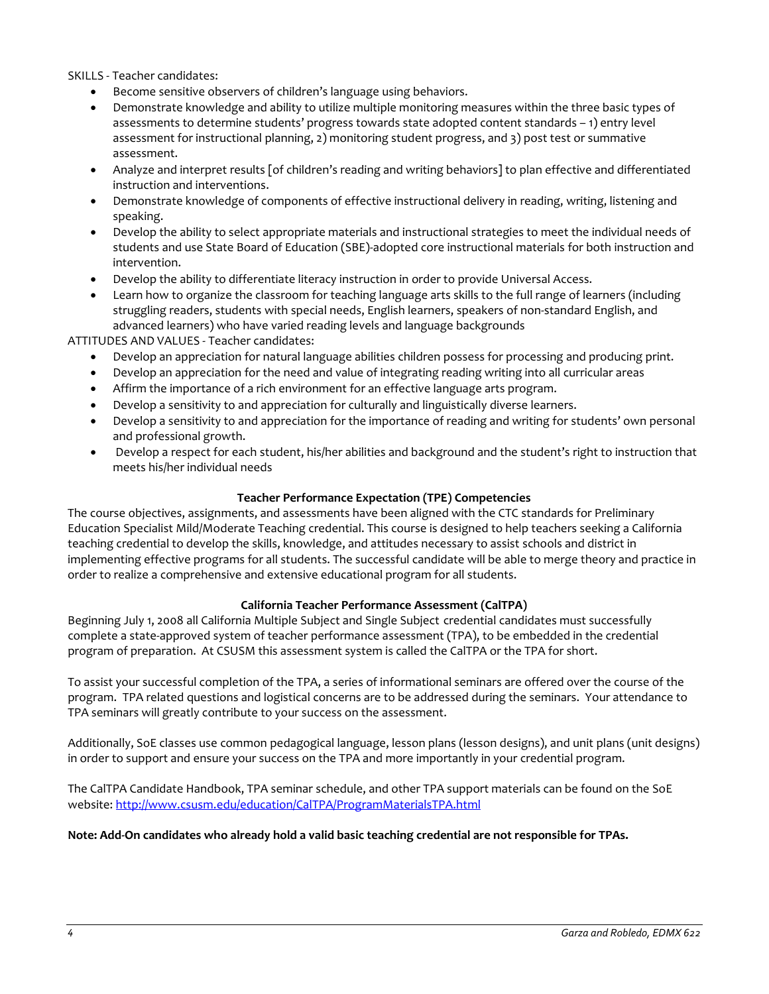SKILLS - Teacher candidates:

- Become sensitive observers of children's language using behaviors.
- Demonstrate knowledge and ability to utilize multiple monitoring measures within the three basic types of assessments to determine students' progress towards state adopted content standards – 1) entry level assessment for instructional planning, 2) monitoring student progress, and 3) post test or summative assessment.
- Analyze and interpret results [of children's reading and writing behaviors] to plan effective and differentiated instruction and interventions.
- Demonstrate knowledge of components of effective instructional delivery in reading, writing, listening and speaking.
- Develop the ability to select appropriate materials and instructional strategies to meet the individual needs of students and use State Board of Education (SBE)-adopted core instructional materials for both instruction and intervention.
- Develop the ability to differentiate literacy instruction in order to provide Universal Access.
- Learn how to organize the classroom for teaching language arts skills to the full range of learners (including struggling readers, students with special needs, English learners, speakers of non-standard English, and advanced learners) who have varied reading levels and language backgrounds

ATTITUDES AND VALUES - Teacher candidates:

- Develop an appreciation for natural language abilities children possess for processing and producing print.
- Develop an appreciation for the need and value of integrating reading writing into all curricular areas
- Affirm the importance of a rich environment for an effective language arts program.
- Develop a sensitivity to and appreciation for culturally and linguistically diverse learners.
- Develop a sensitivity to and appreciation for the importance of reading and writing for students' own personal and professional growth.
- Develop a respect for each student, his/her abilities and background and the student's right to instruction that meets his/her individual needs

### **Teacher Performance Expectation (TPE) Competencies**

<span id="page-3-0"></span>The course objectives, assignments, and assessments have been aligned with the CTC standards for Preliminary Education Specialist Mild/Moderate Teaching credential. This course is designed to help teachers seeking a California teaching credential to develop the skills, knowledge, and attitudes necessary to assist schools and district in implementing effective programs for all students. The successful candidate will be able to merge theory and practice in order to realize a comprehensive and extensive educational program for all students.

### **California Teacher Performance Assessment (CalTPA)**

<span id="page-3-1"></span>Beginning July 1, 2008 all California Multiple Subject and Single Subject credential candidates must successfully complete a state-approved system of teacher performance assessment (TPA), to be embedded in the credential program of preparation. At CSUSM this assessment system is called the CalTPA or the TPA for short.

To assist your successful completion of the TPA, a series of informational seminars are offered over the course of the program. TPA related questions and logistical concerns are to be addressed during the seminars. Your attendance to TPA seminars will greatly contribute to your success on the assessment.

Additionally, SoE classes use common pedagogical language, lesson plans (lesson designs), and unit plans (unit designs) in order to support and ensure your success on the TPA and more importantly in your credential program.

The CalTPA Candidate Handbook, TPA seminar schedule, and other TPA support materials can be found on the SoE website: <http://www.csusm.edu/education/CalTPA/ProgramMaterialsTPA.html>

### <span id="page-3-2"></span>**Note: Add-On candidates who already hold a valid basic teaching credential are not responsible for TPAs.**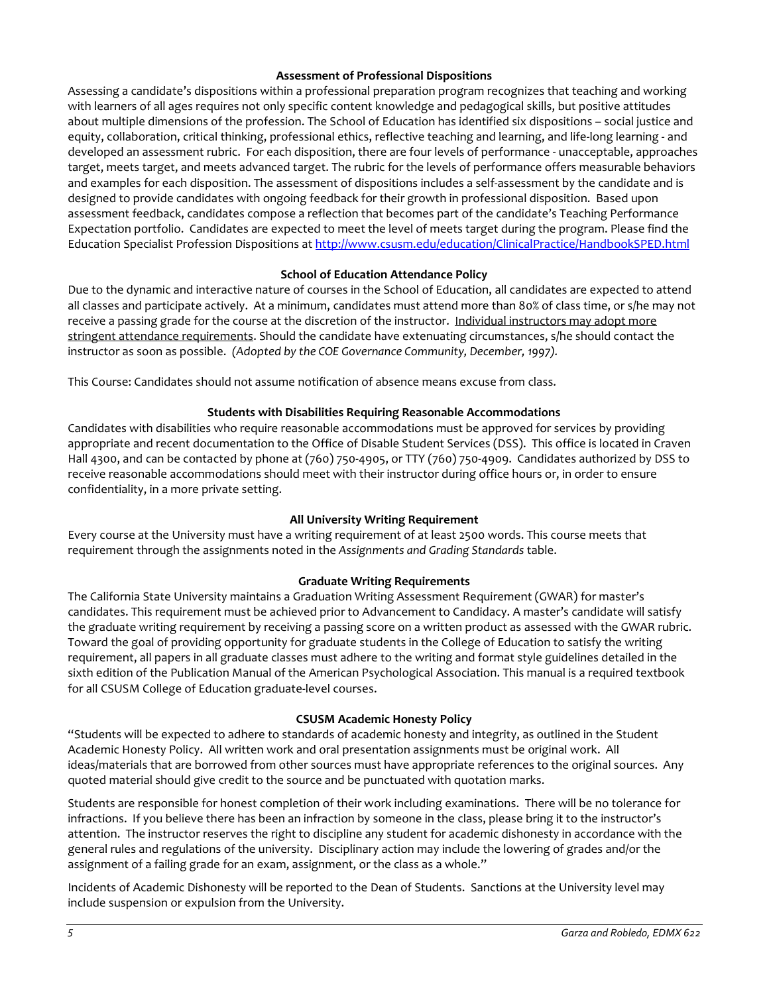### **Assessment of Professional Dispositions**

Assessing a candidate's dispositions within a professional preparation program recognizes that teaching and working with learners of all ages requires not only specific content knowledge and pedagogical skills, but positive attitudes about multiple dimensions of the profession. The School of Education has identified six dispositions – social justice and equity, collaboration, critical thinking, professional ethics, reflective teaching and learning, and life-long learning - and developed an assessment rubric. For each disposition, there are four levels of performance - unacceptable, approaches target, meets target, and meets advanced target. The rubric for the levels of performance offers measurable behaviors and examples for each disposition. The assessment of dispositions includes a self-assessment by the candidate and is designed to provide candidates with ongoing feedback for their growth in professional disposition. Based upon assessment feedback, candidates compose a reflection that becomes part of the candidate's Teaching Performance Expectation portfolio. Candidates are expected to meet the level of meets target during the program. Please find the Education Specialist Profession Dispositions at<http://www.csusm.edu/education/ClinicalPractice/HandbookSPED.html>

### **School of Education Attendance Policy**

<span id="page-4-0"></span>Due to the dynamic and interactive nature of courses in the School of Education, all candidates are expected to attend all classes and participate actively. At a minimum, candidates must attend more than 80% of class time, or s/he may not receive a passing grade for the course at the discretion of the instructor. Individual instructors may adopt more stringent attendance requirements. Should the candidate have extenuating circumstances, s/he should contact the instructor as soon as possible. *(Adopted by the COE Governance Community, December, 1997).*

This Course: Candidates should not assume notification of absence means excuse from class.

### **Students with Disabilities Requiring Reasonable Accommodations**

<span id="page-4-1"></span>Candidates with disabilities who require reasonable accommodations must be approved for services by providing appropriate and recent documentation to the Office of Disable Student Services (DSS). This office is located in Craven Hall 4300, and can be contacted by phone at (760) 750-4905, or TTY (760) 750-4909. Candidates authorized by DSS to receive reasonable accommodations should meet with their instructor during office hours or, in order to ensure confidentiality, in a more private setting.

### **All University Writing Requirement**

<span id="page-4-2"></span>Every course at the University must have a writing requirement of at least 2500 words. This course meets that requirement through the assignments noted in the *Assignments and Grading Standards* table.

### **Graduate Writing Requirements**

<span id="page-4-3"></span>The California State University maintains a Graduation Writing Assessment Requirement (GWAR) for master's candidates. This requirement must be achieved prior to Advancement to Candidacy. A master's candidate will satisfy the graduate writing requirement by receiving a passing score on a written product as assessed with the GWAR rubric. Toward the goal of providing opportunity for graduate students in the College of Education to satisfy the writing requirement, all papers in all graduate classes must adhere to the writing and format style guidelines detailed in the sixth edition of the Publication Manual of the American Psychological Association. This manual is a required textbook for all CSUSM College of Education graduate-level courses.

### **CSUSM Academic Honesty Policy**

<span id="page-4-4"></span>"Students will be expected to adhere to standards of academic honesty and integrity, as outlined in the Student Academic Honesty Policy. All written work and oral presentation assignments must be original work. All ideas/materials that are borrowed from other sources must have appropriate references to the original sources. Any quoted material should give credit to the source and be punctuated with quotation marks.

Students are responsible for honest completion of their work including examinations. There will be no tolerance for infractions. If you believe there has been an infraction by someone in the class, please bring it to the instructor's attention. The instructor reserves the right to discipline any student for academic dishonesty in accordance with the general rules and regulations of the university. Disciplinary action may include the lowering of grades and/or the assignment of a failing grade for an exam, assignment, or the class as a whole."

Incidents of Academic Dishonesty will be reported to the Dean of Students. Sanctions at the University level may include suspension or expulsion from the University.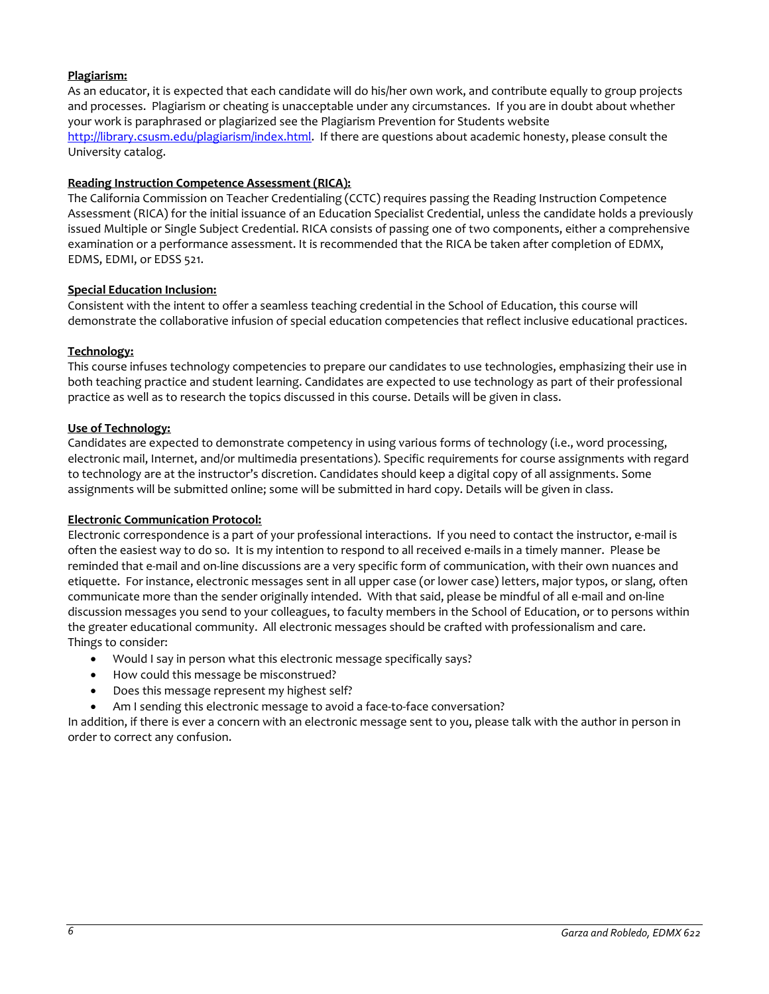### **Plagiarism:**

As an educator, it is expected that each candidate will do his/her own work, and contribute equally to group projects and processes. Plagiarism or cheating is unacceptable under any circumstances. If you are in doubt about whether your work is paraphrased or plagiarized see the Plagiarism Prevention for Students website [http://library.csusm.edu/plagiarism/index.html.](http://library.csusm.edu/plagiarism/index.html) If there are questions about academic honesty, please consult the University catalog.

### **Reading Instruction Competence Assessment (RICA):**

The California Commission on Teacher Credentialing (CCTC) requires passing the Reading Instruction Competence Assessment (RICA) for the initial issuance of an Education Specialist Credential, unless the candidate holds a previously issued Multiple or Single Subject Credential. RICA consists of passing one of two components, either a comprehensive examination or a performance assessment. It is recommended that the RICA be taken after completion of EDMX, EDMS, EDMI, or EDSS 521.

### **Special Education Inclusion:**

Consistent with the intent to offer a seamless teaching credential in the School of Education, this course will demonstrate the collaborative infusion of special education competencies that reflect inclusive educational practices.

### **Technology:**

This course infuses technology competencies to prepare our candidates to use technologies, emphasizing their use in both teaching practice and student learning. Candidates are expected to use technology as part of their professional practice as well as to research the topics discussed in this course. Details will be given in class.

### **Use of Technology:**

Candidates are expected to demonstrate competency in using various forms of technology (i.e., word processing, electronic mail, Internet, and/or multimedia presentations). Specific requirements for course assignments with regard to technology are at the instructor's discretion. Candidates should keep a digital copy of all assignments. Some assignments will be submitted online; some will be submitted in hard copy. Details will be given in class.

### **Electronic Communication Protocol:**

Electronic correspondence is a part of your professional interactions. If you need to contact the instructor, e-mail is often the easiest way to do so. It is my intention to respond to all received e-mails in a timely manner. Please be reminded that e-mail and on-line discussions are a very specific form of communication, with their own nuances and etiquette. For instance, electronic messages sent in all upper case (or lower case) letters, major typos, or slang, often communicate more than the sender originally intended. With that said, please be mindful of all e-mail and on-line discussion messages you send to your colleagues, to faculty members in the School of Education, or to persons within the greater educational community. All electronic messages should be crafted with professionalism and care. Things to consider:

- Would I say in person what this electronic message specifically says?
- How could this message be misconstrued?
- Does this message represent my highest self?
- Am I sending this electronic message to avoid a face-to-face conversation?

<span id="page-5-0"></span>In addition, if there is ever a concern with an electronic message sent to you, please talk with the author in person in order to correct any confusion.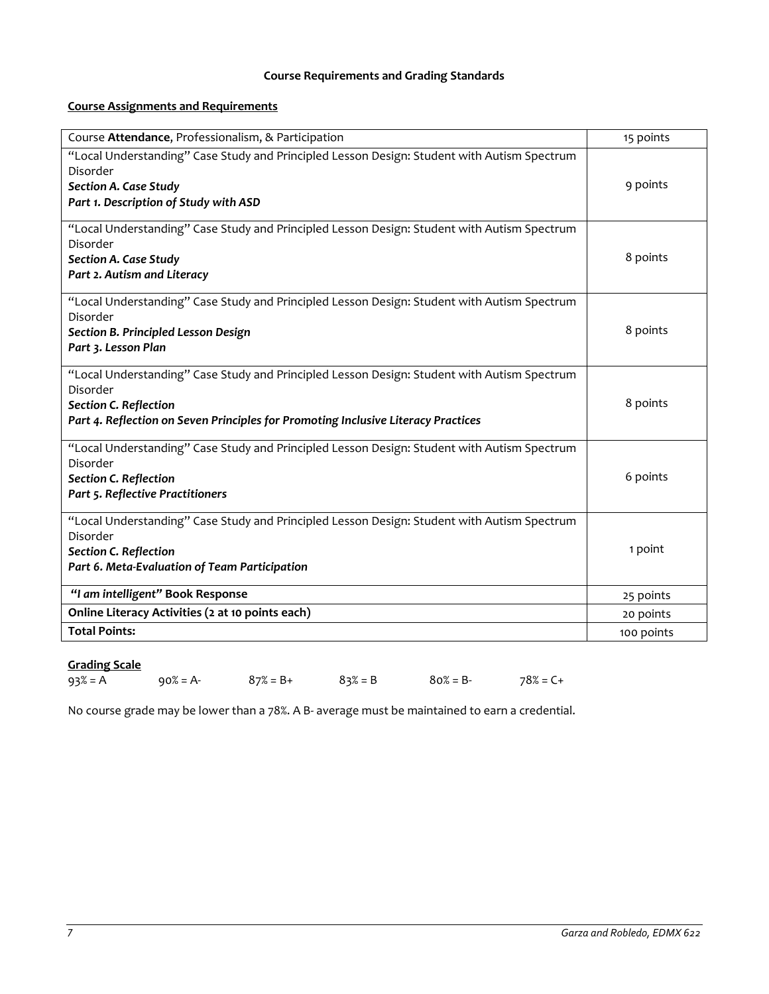## **Course Requirements and Grading Standards**

# **Course Assignments and Requirements**

| Course Attendance, Professionalism, & Participation                                         | 15 points  |
|---------------------------------------------------------------------------------------------|------------|
| "Local Understanding" Case Study and Principled Lesson Design: Student with Autism Spectrum |            |
| Disorder                                                                                    | 9 points   |
| <b>Section A. Case Study</b><br>Part 1. Description of Study with ASD                       |            |
|                                                                                             |            |
| "Local Understanding" Case Study and Principled Lesson Design: Student with Autism Spectrum |            |
| Disorder                                                                                    |            |
| Section A. Case Study                                                                       | 8 points   |
| Part 2. Autism and Literacy                                                                 |            |
| "Local Understanding" Case Study and Principled Lesson Design: Student with Autism Spectrum |            |
| Disorder                                                                                    | 8 points   |
| Section B. Principled Lesson Design<br>Part 3. Lesson Plan                                  |            |
|                                                                                             |            |
| "Local Understanding" Case Study and Principled Lesson Design: Student with Autism Spectrum |            |
| Disorder<br><b>Section C. Reflection</b>                                                    | 8 points   |
| Part 4. Reflection on Seven Principles for Promoting Inclusive Literacy Practices           |            |
|                                                                                             |            |
| "Local Understanding" Case Study and Principled Lesson Design: Student with Autism Spectrum |            |
| Disorder<br>Section C. Reflection                                                           | 6 points   |
| Part 5. Reflective Practitioners                                                            |            |
|                                                                                             |            |
| "Local Understanding" Case Study and Principled Lesson Design: Student with Autism Spectrum |            |
| Disorder<br><b>Section C. Reflection</b>                                                    | 1 point    |
| Part 6. Meta-Evaluation of Team Participation                                               |            |
|                                                                                             |            |
| "I am intelligent" Book Response                                                            | 25 points  |
| Online Literacy Activities (2 at 10 points each)                                            | 20 points  |
| <b>Total Points:</b>                                                                        | 100 points |

# **Grading Scale**

| $93\% = A$ | $90\% = A$ - | $87\% = B +$ | $83\% = B$ | $80\% = B$ - | $78% = C +$ |
|------------|--------------|--------------|------------|--------------|-------------|
|            |              |              |            |              |             |

No course grade may be lower than a 78%. A B- average must be maintained to earn a credential.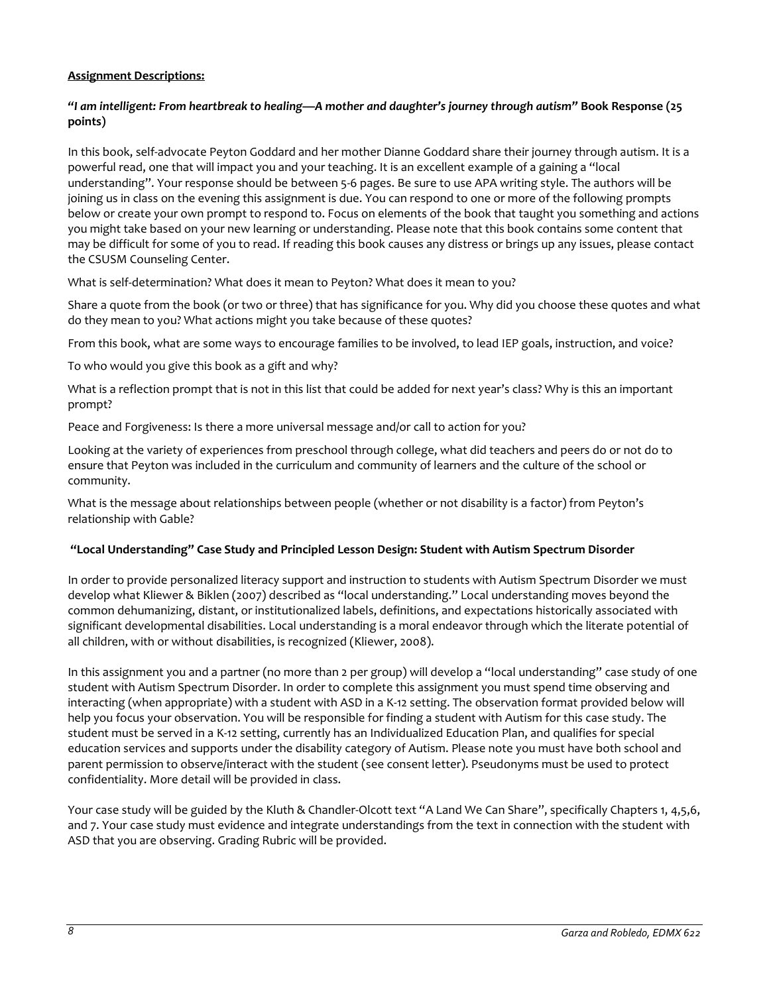### **Assignment Descriptions:**

### *"I am intelligent: From heartbreak to healing—A mother and daughter's journey through autism"* **Book Response (25 points)**

In this book, self-advocate Peyton Goddard and her mother Dianne Goddard share their journey through autism. It is a powerful read, one that will impact you and your teaching. It is an excellent example of a gaining a "local understanding". Your response should be between 5-6 pages. Be sure to use APA writing style. The authors will be joining us in class on the evening this assignment is due. You can respond to one or more of the following prompts below or create your own prompt to respond to. Focus on elements of the book that taught you something and actions you might take based on your new learning or understanding. Please note that this book contains some content that may be difficult for some of you to read. If reading this book causes any distress or brings up any issues, please contact the CSUSM Counseling Center.

What is self-determination? What does it mean to Peyton? What does it mean to you?

Share a quote from the book (or two or three) that has significance for you. Why did you choose these quotes and what do they mean to you? What actions might you take because of these quotes?

From this book, what are some ways to encourage families to be involved, to lead IEP goals, instruction, and voice?

To who would you give this book as a gift and why?

What is a reflection prompt that is not in this list that could be added for next year's class? Why is this an important prompt?

Peace and Forgiveness: Is there a more universal message and/or call to action for you?

Looking at the variety of experiences from preschool through college, what did teachers and peers do or not do to ensure that Peyton was included in the curriculum and community of learners and the culture of the school or community.

What is the message about relationships between people (whether or not disability is a factor) from Peyton's relationship with Gable?

### **"Local Understanding" Case Study and Principled Lesson Design: Student with Autism Spectrum Disorder**

In order to provide personalized literacy support and instruction to students with Autism Spectrum Disorder we must develop what Kliewer & Biklen (2007) described as "local understanding." Local understanding moves beyond the common dehumanizing, distant, or institutionalized labels, definitions, and expectations historically associated with significant developmental disabilities. Local understanding is a moral endeavor through which the literate potential of all children, with or without disabilities, is recognized (Kliewer, 2008).

In this assignment you and a partner (no more than 2 per group) will develop a "local understanding" case study of one student with Autism Spectrum Disorder. In order to complete this assignment you must spend time observing and interacting (when appropriate) with a student with ASD in a K-12 setting. The observation format provided below will help you focus your observation. You will be responsible for finding a student with Autism for this case study. The student must be served in a K-12 setting, currently has an Individualized Education Plan, and qualifies for special education services and supports under the disability category of Autism. Please note you must have both school and parent permission to observe/interact with the student (see consent letter). Pseudonyms must be used to protect confidentiality. More detail will be provided in class.

Your case study will be guided by the Kluth & Chandler-Olcott text "A Land We Can Share", specifically Chapters 1, 4,5,6, and 7. Your case study must evidence and integrate understandings from the text in connection with the student with ASD that you are observing. Grading Rubric will be provided.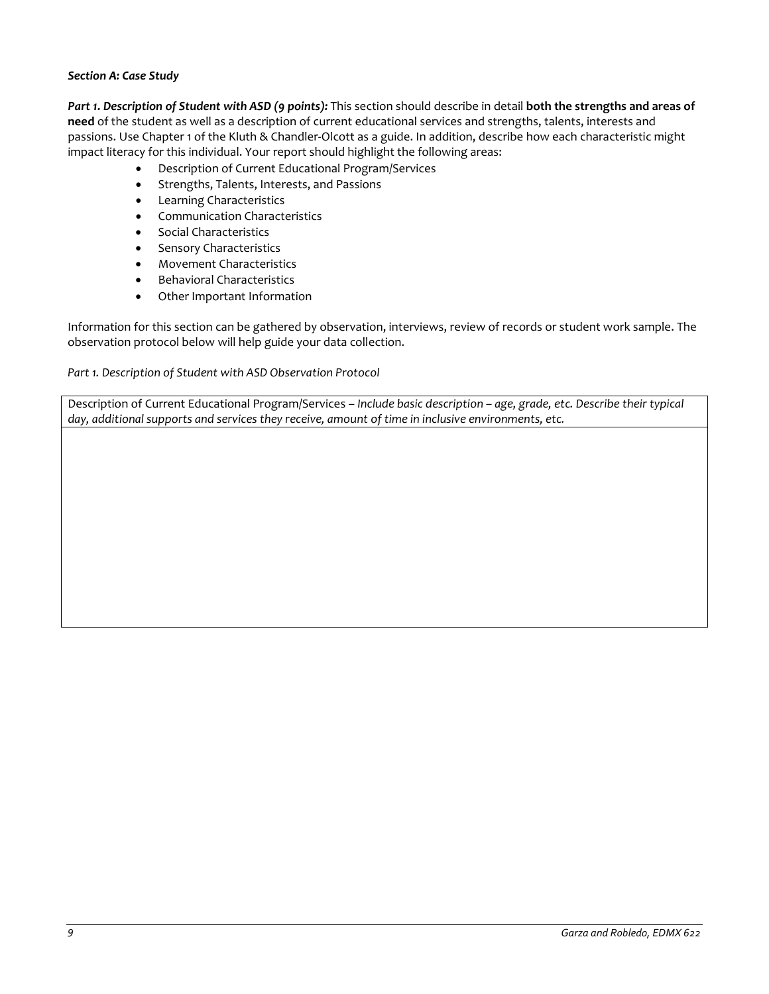### *Section A: Case Study*

*Part 1. Description of Student with ASD (9 points):* This section should describe in detail **both the strengths and areas of need** of the student as well as a description of current educational services and strengths, talents, interests and passions. Use Chapter 1 of the Kluth & Chandler-Olcott as a guide. In addition, describe how each characteristic might impact literacy for this individual. Your report should highlight the following areas:

- Description of Current Educational Program/Services
- Strengths, Talents, Interests, and Passions
- Learning Characteristics
- Communication Characteristics
- Social Characteristics
- Sensory Characteristics
- Movement Characteristics
- Behavioral Characteristics
- Other Important Information

Information for this section can be gathered by observation, interviews, review of records or student work sample. The observation protocol below will help guide your data collection.

### *Part 1. Description of Student with ASD Observation Protocol*

Description of Current Educational Program/Services – *Include basic description – age, grade, etc. Describe their typical day, additional supports and services they receive, amount of time in inclusive environments, etc.*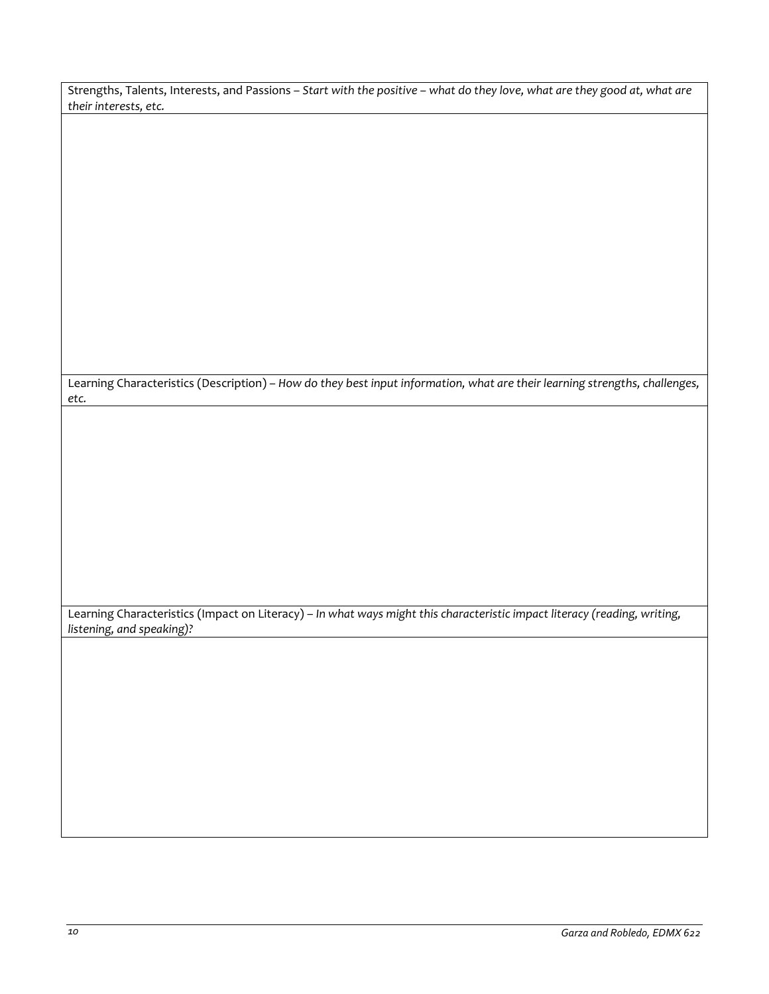Strengths, Talents, Interests, and Passions – *Start with the positive – what do they love, what are they good at, what are their interests, etc.*

Learning Characteristics (Description) – *How do they best input information, what are their learning strengths, challenges, etc.*

Learning Characteristics (Impact on Literacy) – *In what ways might this characteristic impact literacy (reading, writing, listening, and speaking)?*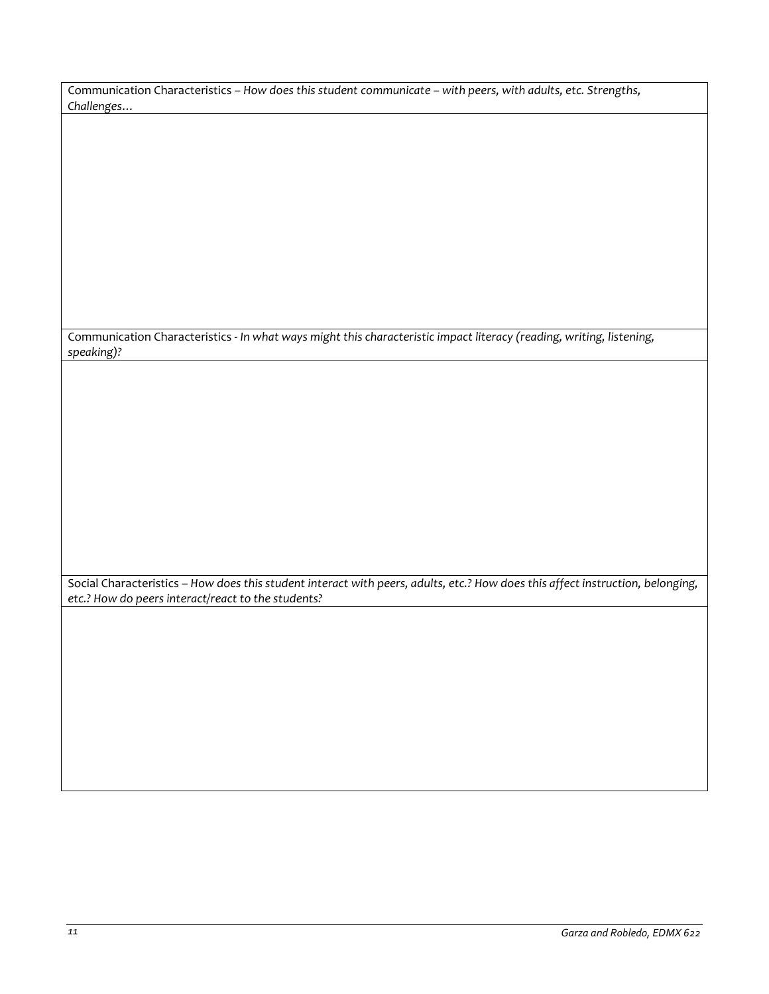| Communication Characteristics - How does this student communicate - with peers, with adults, etc. Strengths, |
|--------------------------------------------------------------------------------------------------------------|
| Challenges                                                                                                   |

Communication Characteristics - *In what ways might this characteristic impact literacy (reading, writing, listening, speaking)?*

Social Characteristics – *How does this student interact with peers, adults, etc.? How does this affect instruction, belonging, etc.? How do peers interact/react to the students?*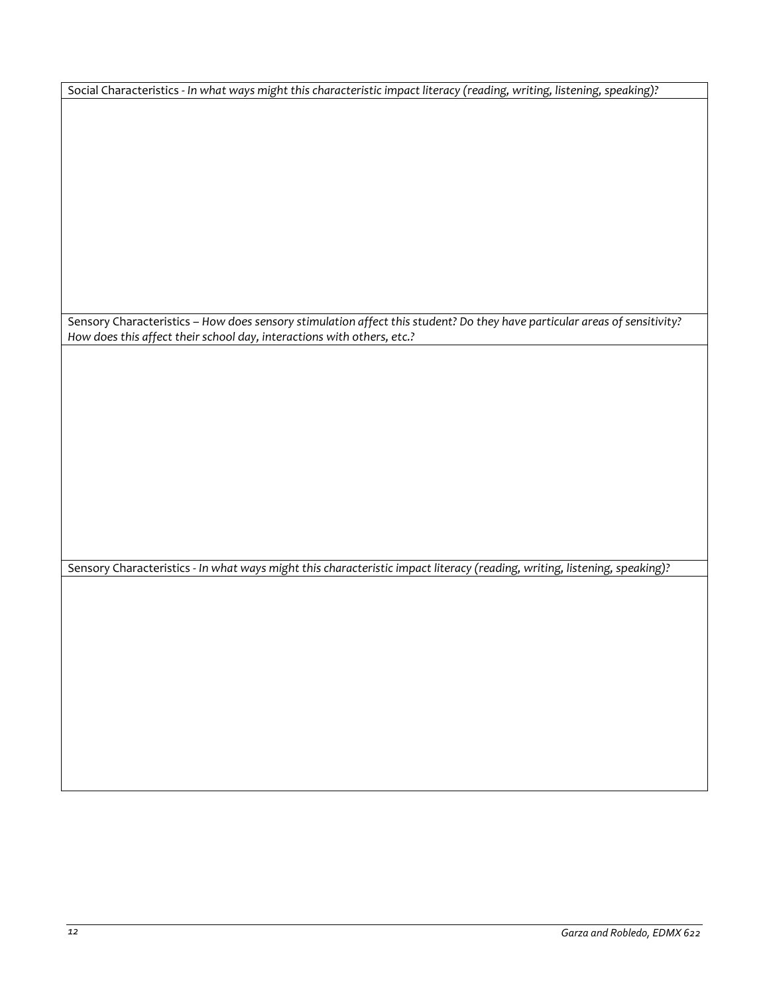Social Characteristics - *In what ways might this characteristic impact literacy (reading, writing, listening, speaking)?*

Sensory Characteristics – *How does sensory stimulation affect this student? Do they have particular areas of sensitivity? How does this affect their school day, interactions with others, etc.?*

Sensory Characteristics - *In what ways might this characteristic impact literacy (reading, writing, listening, speaking)?*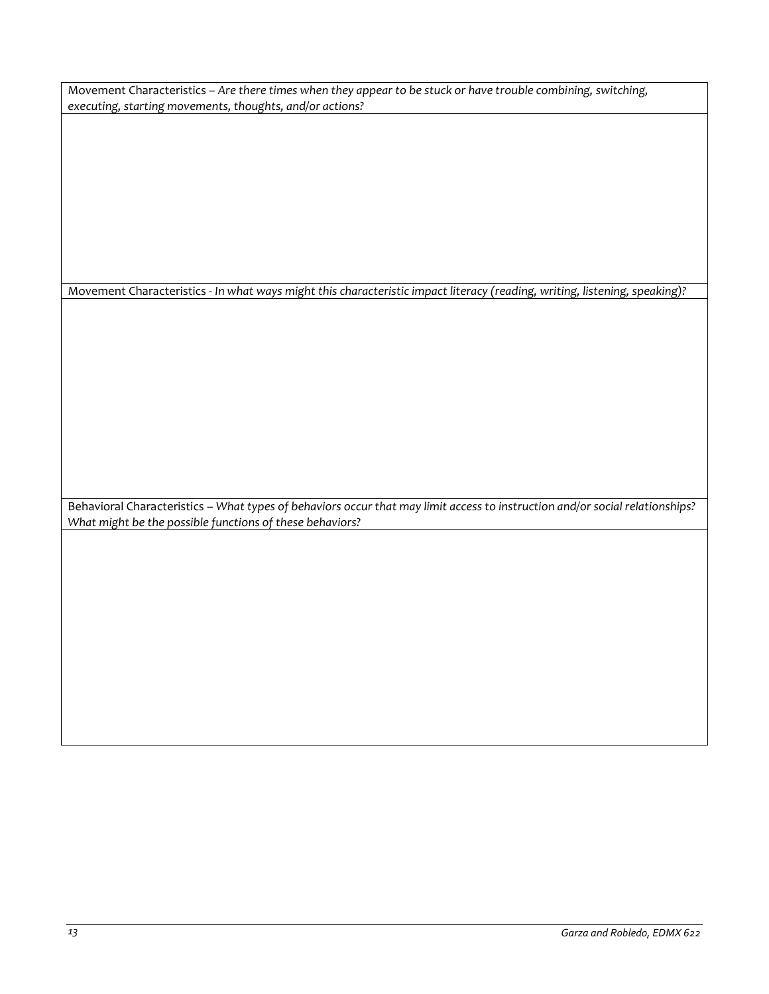Movement Characteristics – *Are there times when they appear to be stuck or have trouble combining, switching, executing, starting movements, thoughts, and/or actions?* 

Movement Characteristics - *In what ways might this characteristic impact literacy (reading, writing, listening, speaking)?*

Behavioral Characteristics – *What types of behaviors occur that may limit access to instruction and/or social relationships? What might be the possible functions of these behaviors?*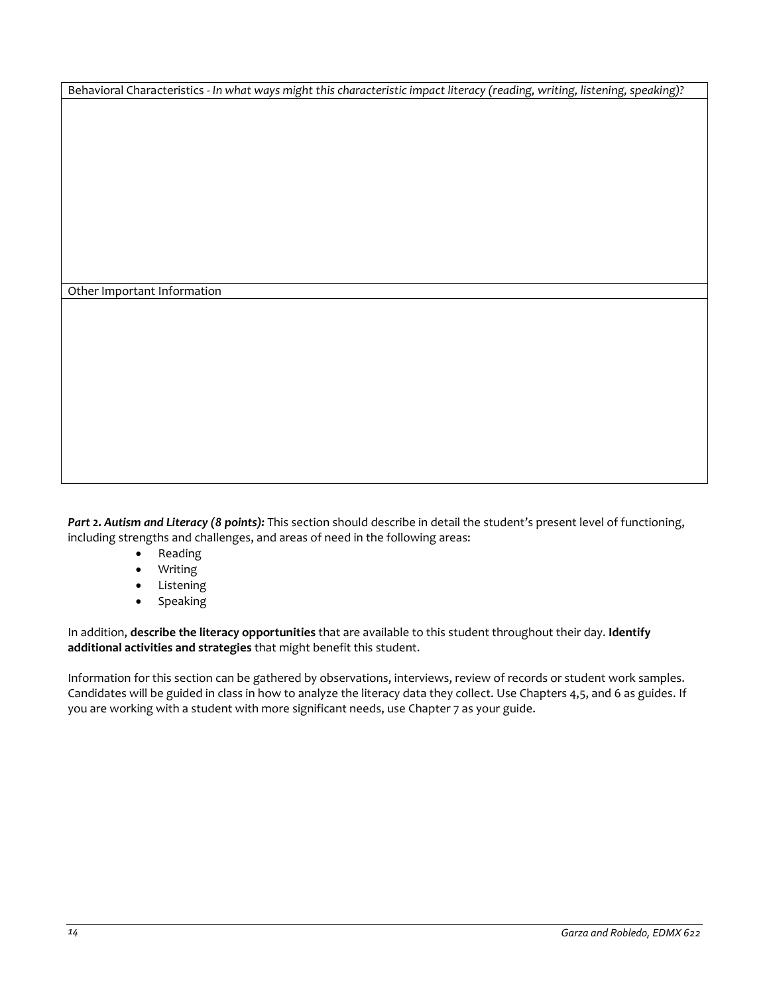Behavioral Characteristics - *In what ways might this characteristic impact literacy (reading, writing, listening, speaking)?*

Other Important Information

*Part 2. Autism and Literacy (8 points):* This section should describe in detail the student's present level of functioning, including strengths and challenges, and areas of need in the following areas:

- Reading
- Writing
- Listening
- Speaking

In addition, **describe the literacy opportunities** that are available to this student throughout their day. **Identify additional activities and strategies** that might benefit this student.

Information for this section can be gathered by observations, interviews, review of records or student work samples. Candidates will be guided in class in how to analyze the literacy data they collect. Use Chapters 4,5, and 6 as guides. If you are working with a student with more significant needs, use Chapter 7 as your guide.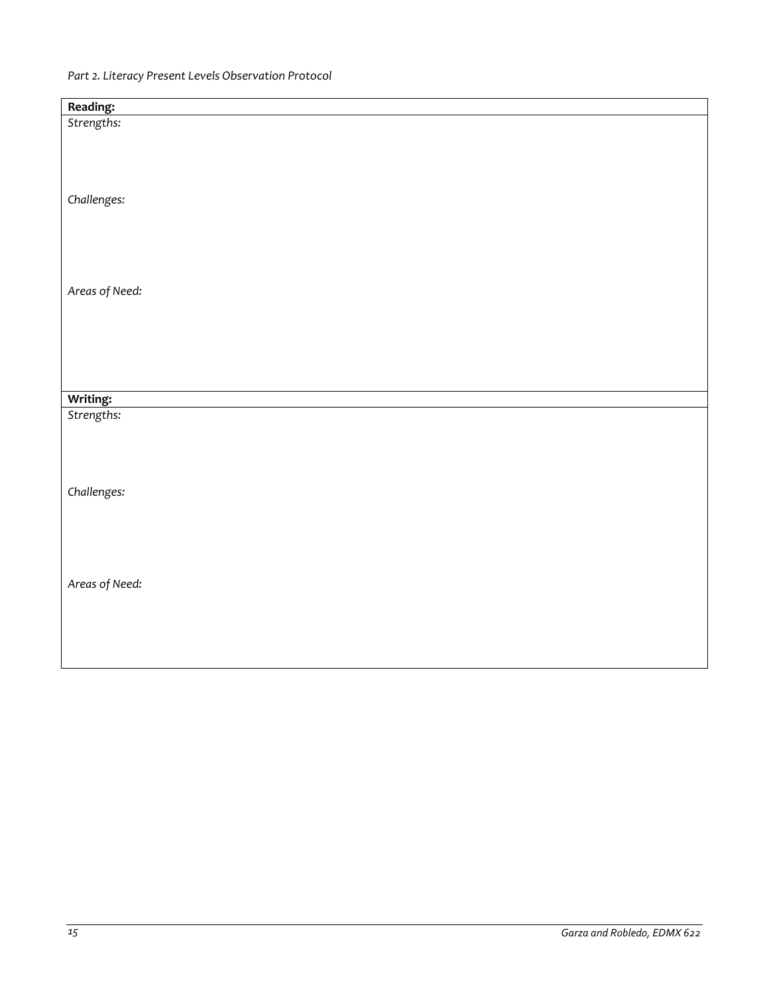| Reading:       |  |
|----------------|--|
| Strengths:     |  |
|                |  |
|                |  |
|                |  |
|                |  |
| Challenges:    |  |
|                |  |
|                |  |
|                |  |
|                |  |
|                |  |
| Areas of Need: |  |
|                |  |
|                |  |
|                |  |
|                |  |
|                |  |
| Writing:       |  |
| Strengths:     |  |
|                |  |
|                |  |
|                |  |
|                |  |
| Challenges:    |  |
|                |  |
|                |  |
|                |  |
|                |  |
|                |  |
| Areas of Need: |  |
|                |  |
|                |  |
|                |  |
|                |  |
|                |  |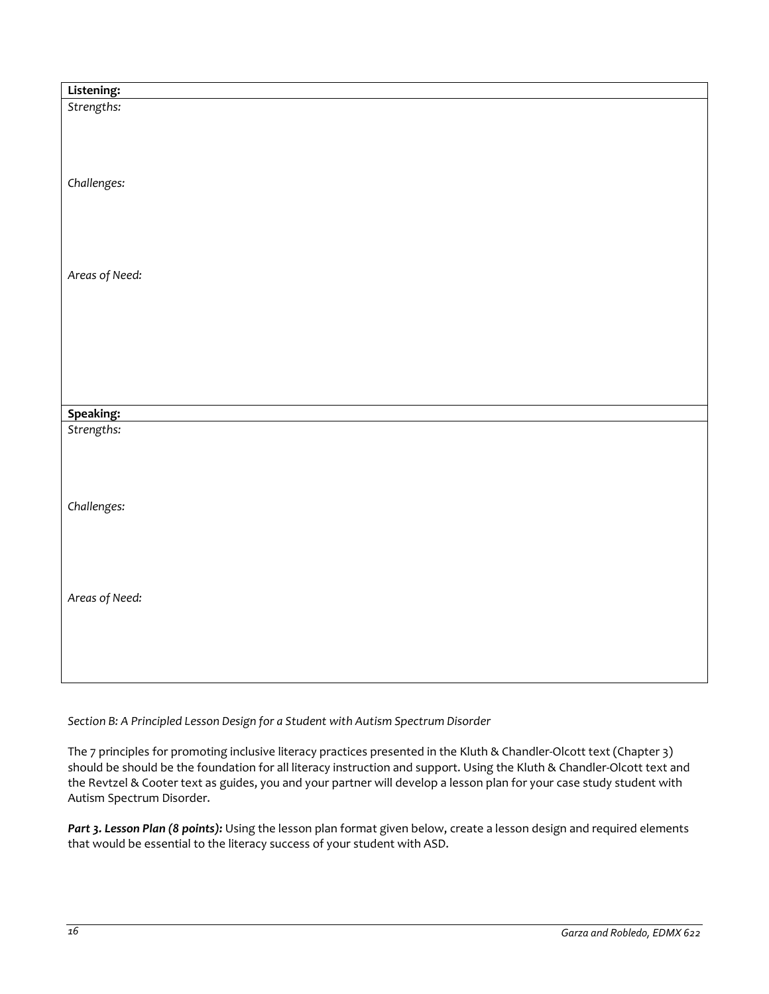| Listening:              |  |
|-------------------------|--|
| Strengths:              |  |
|                         |  |
|                         |  |
|                         |  |
|                         |  |
| Challenges:             |  |
|                         |  |
|                         |  |
|                         |  |
|                         |  |
| Areas of Need:          |  |
|                         |  |
|                         |  |
|                         |  |
|                         |  |
|                         |  |
|                         |  |
|                         |  |
|                         |  |
| Speaking:<br>Strengths: |  |
|                         |  |
|                         |  |
|                         |  |
|                         |  |
|                         |  |
| Challenges:             |  |
|                         |  |
|                         |  |
|                         |  |
|                         |  |
|                         |  |
| Areas of Need:          |  |
|                         |  |
|                         |  |
|                         |  |
|                         |  |
|                         |  |

*Section B: A Principled Lesson Design for a Student with Autism Spectrum Disorder* 

The 7 principles for promoting inclusive literacy practices presented in the Kluth & Chandler-Olcott text (Chapter 3) should be should be the foundation for all literacy instruction and support. Using the Kluth & Chandler-Olcott text and the Revtzel & Cooter text as guides, you and your partner will develop a lesson plan for your case study student with Autism Spectrum Disorder.

Part 3. Lesson Plan (8 points): Using the lesson plan format given below, create a lesson design and required elements that would be essential to the literacy success of your student with ASD.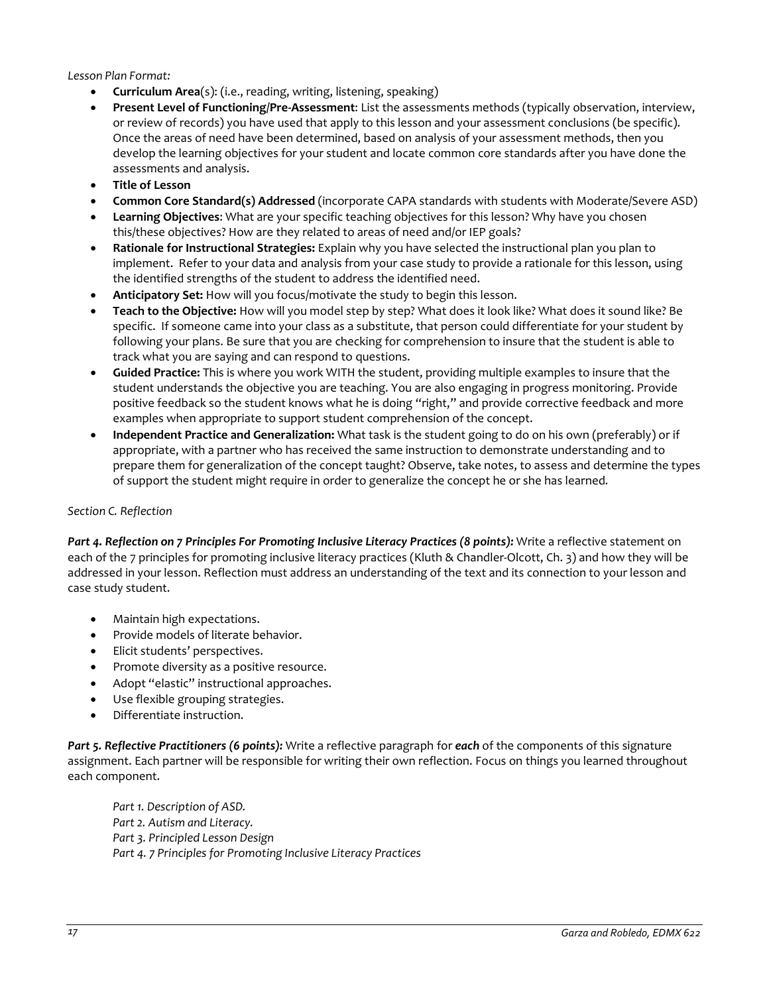*Lesson Plan Format:*

- **Curriculum Area**(s): (i.e., reading, writing, listening, speaking)
- **Present Level of Functioning/Pre-Assessment**: List the assessments methods (typically observation, interview, or review of records) you have used that apply to this lesson and your assessment conclusions (be specific). Once the areas of need have been determined, based on analysis of your assessment methods, then you develop the learning objectives for your student and locate common core standards after you have done the assessments and analysis.
- **Title of Lesson**
- **Common Core Standard(s) Addressed** (incorporate CAPA standards with students with Moderate/Severe ASD)
- **Learning Objectives**: What are your specific teaching objectives for this lesson? Why have you chosen this/these objectives? How are they related to areas of need and/or IEP goals?
- **Rationale for Instructional Strategies:** Explain why you have selected the instructional plan you plan to implement. Refer to your data and analysis from your case study to provide a rationale for this lesson, using the identified strengths of the student to address the identified need.
- **Anticipatory Set:** How will you focus/motivate the study to begin this lesson.
- **Teach to the Objective:** How will you model step by step? What does it look like? What does it sound like? Be specific. If someone came into your class as a substitute, that person could differentiate for your student by following your plans. Be sure that you are checking for comprehension to insure that the student is able to track what you are saying and can respond to questions.
- **Guided Practice:** This is where you work WITH the student, providing multiple examples to insure that the student understands the objective you are teaching. You are also engaging in progress monitoring. Provide positive feedback so the student knows what he is doing "right," and provide corrective feedback and more examples when appropriate to support student comprehension of the concept.
- **Independent Practice and Generalization:** What task is the student going to do on his own (preferably) or if appropriate, with a partner who has received the same instruction to demonstrate understanding and to prepare them for generalization of the concept taught? Observe, take notes, to assess and determine the types of support the student might require in order to generalize the concept he or she has learned*.*

### *Section C. Reflection*

*Part 4. Reflection on 7 Principles For Promoting Inclusive Literacy Practices (8 points):* Write a reflective statement on each of the 7 principles for promoting inclusive literacy practices (Kluth & Chandler-Olcott, Ch. 3) and how they will be addressed in your lesson. Reflection must address an understanding of the text and its connection to your lesson and case study student.

- Maintain high expectations.
- Provide models of literate behavior.
- Elicit students' perspectives.
- Promote diversity as a positive resource.
- Adopt "elastic" instructional approaches.
- Use flexible grouping strategies.
- Differentiate instruction.

*Part 5. Reflective Practitioners (6 points):* Write a reflective paragraph for *each* of the components of this signature assignment. Each partner will be responsible for writing their own reflection. Focus on things you learned throughout each component.

*Part 1. Description of ASD. Part 2. Autism and Literacy. Part 3. Principled Lesson Design Part 4. 7 Principles for Promoting Inclusive Literacy Practices*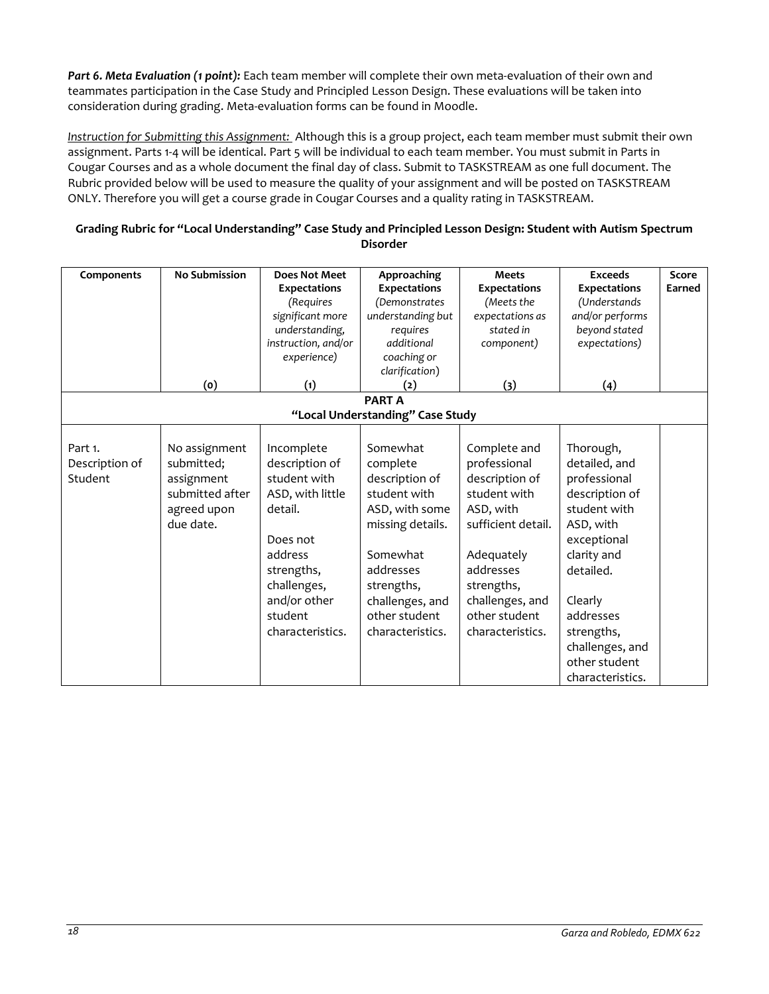*Part 6. Meta Evaluation (1 point):* Each team member will complete their own meta-evaluation of their own and teammates participation in the Case Study and Principled Lesson Design. These evaluations will be taken into consideration during grading. Meta-evaluation forms can be found in Moodle.

*Instruction for Submitting this Assignment:* Although this is a group project, each team member must submit their own assignment. Parts 1-4 will be identical. Part 5 will be individual to each team member. You must submit in Parts in Cougar Courses and as a whole document the final day of class. Submit to TASKSTREAM as one full document. The Rubric provided below will be used to measure the quality of your assignment and will be posted on TASKSTREAM ONLY. Therefore you will get a course grade in Cougar Courses and a quality rating in TASKSTREAM.

### **Grading Rubric for "Local Understanding" Case Study and Principled Lesson Design: Student with Autism Spectrum Disorder**

| Components                           | <b>No Submission</b>                                                                     | <b>Does Not Meet</b><br><b>Expectations</b><br>(Requires<br>significant more<br>understanding,<br>instruction, and/or<br>experience)                                           | Approaching<br><b>Expectations</b><br>(Demonstrates<br>understanding but<br>requires<br>additional<br>coaching or                                                                           | <b>Meets</b><br><b>Expectations</b><br>(Meets the<br>expectations as<br>stated in<br>component)                                                                                                    | <b>Exceeds</b><br><b>Expectations</b><br>(Understands<br>and/or performs<br>beyond stated<br>expectations)                                                                                                                         | Score<br>Earned |
|--------------------------------------|------------------------------------------------------------------------------------------|--------------------------------------------------------------------------------------------------------------------------------------------------------------------------------|---------------------------------------------------------------------------------------------------------------------------------------------------------------------------------------------|----------------------------------------------------------------------------------------------------------------------------------------------------------------------------------------------------|------------------------------------------------------------------------------------------------------------------------------------------------------------------------------------------------------------------------------------|-----------------|
|                                      |                                                                                          |                                                                                                                                                                                | clarification)                                                                                                                                                                              |                                                                                                                                                                                                    |                                                                                                                                                                                                                                    |                 |
|                                      | (o)                                                                                      | (1)                                                                                                                                                                            | (2)<br><b>PARTA</b>                                                                                                                                                                         | (3)                                                                                                                                                                                                | (4)                                                                                                                                                                                                                                |                 |
|                                      |                                                                                          |                                                                                                                                                                                | "Local Understanding" Case Study                                                                                                                                                            |                                                                                                                                                                                                    |                                                                                                                                                                                                                                    |                 |
|                                      |                                                                                          |                                                                                                                                                                                |                                                                                                                                                                                             |                                                                                                                                                                                                    |                                                                                                                                                                                                                                    |                 |
| Part 1.<br>Description of<br>Student | No assignment<br>submitted;<br>assignment<br>submitted after<br>agreed upon<br>due date. | Incomplete<br>description of<br>student with<br>ASD, with little<br>detail.<br>Does not<br>address<br>strengths,<br>challenges,<br>and/or other<br>student<br>characteristics. | Somewhat<br>complete<br>description of<br>student with<br>ASD, with some<br>missing details.<br>Somewhat<br>addresses<br>strengths,<br>challenges, and<br>other student<br>characteristics. | Complete and<br>professional<br>description of<br>student with<br>ASD, with<br>sufficient detail.<br>Adequately<br>addresses<br>strengths,<br>challenges, and<br>other student<br>characteristics. | Thorough,<br>detailed, and<br>professional<br>description of<br>student with<br>ASD, with<br>exceptional<br>clarity and<br>detailed.<br>Clearly<br>addresses<br>strengths,<br>challenges, and<br>other student<br>characteristics. |                 |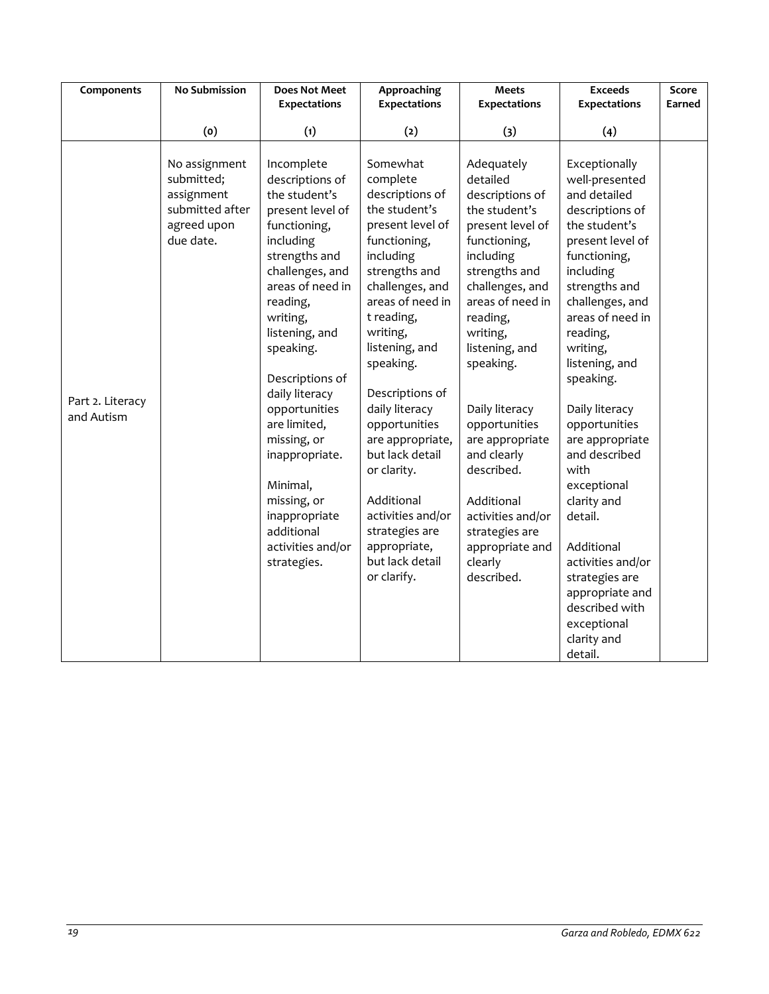| Components                     | <b>No Submission</b>                                                                     | <b>Does Not Meet</b><br><b>Expectations</b>                                                                                                                                                                                                                                                                                                                                                                         | Approaching<br><b>Expectations</b>                                                                                                                                                                                                                                                                                                                                                                                                            | <b>Meets</b><br><b>Expectations</b>                                                                                                                                                                                                                                                                                                                                                                            | <b>Exceeds</b><br><b>Expectations</b>                                                                                                                                                                                                                                                                                                                                                                                                                                                                          | Score<br>Earned |
|--------------------------------|------------------------------------------------------------------------------------------|---------------------------------------------------------------------------------------------------------------------------------------------------------------------------------------------------------------------------------------------------------------------------------------------------------------------------------------------------------------------------------------------------------------------|-----------------------------------------------------------------------------------------------------------------------------------------------------------------------------------------------------------------------------------------------------------------------------------------------------------------------------------------------------------------------------------------------------------------------------------------------|----------------------------------------------------------------------------------------------------------------------------------------------------------------------------------------------------------------------------------------------------------------------------------------------------------------------------------------------------------------------------------------------------------------|----------------------------------------------------------------------------------------------------------------------------------------------------------------------------------------------------------------------------------------------------------------------------------------------------------------------------------------------------------------------------------------------------------------------------------------------------------------------------------------------------------------|-----------------|
|                                | (o)                                                                                      | (1)                                                                                                                                                                                                                                                                                                                                                                                                                 | (2)                                                                                                                                                                                                                                                                                                                                                                                                                                           | (3)                                                                                                                                                                                                                                                                                                                                                                                                            | (4)                                                                                                                                                                                                                                                                                                                                                                                                                                                                                                            |                 |
| Part 2. Literacy<br>and Autism | No assignment<br>submitted;<br>assignment<br>submitted after<br>agreed upon<br>due date. | Incomplete<br>descriptions of<br>the student's<br>present level of<br>functioning,<br>including<br>strengths and<br>challenges, and<br>areas of need in<br>reading,<br>writing,<br>listening, and<br>speaking.<br>Descriptions of<br>daily literacy<br>opportunities<br>are limited,<br>missing, or<br>inappropriate.<br>Minimal,<br>missing, or<br>inappropriate<br>additional<br>activities and/or<br>strategies. | Somewhat<br>complete<br>descriptions of<br>the student's<br>present level of<br>functioning,<br>including<br>strengths and<br>challenges, and<br>areas of need in<br>t reading,<br>writing,<br>listening, and<br>speaking.<br>Descriptions of<br>daily literacy<br>opportunities<br>are appropriate,<br>but lack detail<br>or clarity.<br>Additional<br>activities and/or<br>strategies are<br>appropriate,<br>but lack detail<br>or clarify. | Adequately<br>detailed<br>descriptions of<br>the student's<br>present level of<br>functioning,<br>including<br>strengths and<br>challenges, and<br>areas of need in<br>reading,<br>writing,<br>listening, and<br>speaking.<br>Daily literacy<br>opportunities<br>are appropriate<br>and clearly<br>described.<br>Additional<br>activities and/or<br>strategies are<br>appropriate and<br>clearly<br>described. | Exceptionally<br>well-presented<br>and detailed<br>descriptions of<br>the student's<br>present level of<br>functioning,<br>including<br>strengths and<br>challenges, and<br>areas of need in<br>reading,<br>writing,<br>listening, and<br>speaking.<br>Daily literacy<br>opportunities<br>are appropriate<br>and described<br>with<br>exceptional<br>clarity and<br>detail.<br>Additional<br>activities and/or<br>strategies are<br>appropriate and<br>described with<br>exceptional<br>clarity and<br>detail. |                 |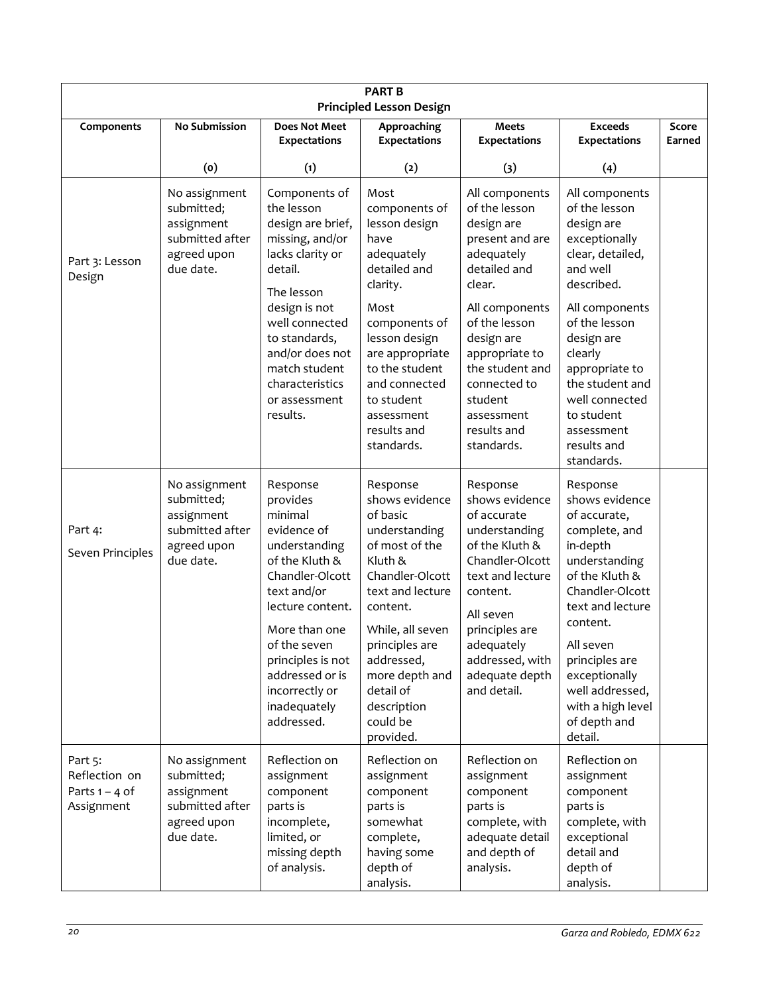| <b>PART B</b><br><b>Principled Lesson Design</b>           |                                                                                          |                                                                                                                                                                                                                                                                  |                                                                                                                                                                                                                                                                    |                                                                                                                                                                                                                                  |                                                                                                                                                                                                                                                                                  |                 |
|------------------------------------------------------------|------------------------------------------------------------------------------------------|------------------------------------------------------------------------------------------------------------------------------------------------------------------------------------------------------------------------------------------------------------------|--------------------------------------------------------------------------------------------------------------------------------------------------------------------------------------------------------------------------------------------------------------------|----------------------------------------------------------------------------------------------------------------------------------------------------------------------------------------------------------------------------------|----------------------------------------------------------------------------------------------------------------------------------------------------------------------------------------------------------------------------------------------------------------------------------|-----------------|
| Components                                                 | <b>No Submission</b>                                                                     | <b>Does Not Meet</b><br><b>Expectations</b>                                                                                                                                                                                                                      | Approaching<br><b>Expectations</b>                                                                                                                                                                                                                                 | Meets<br><b>Expectations</b>                                                                                                                                                                                                     | <b>Exceeds</b><br><b>Expectations</b>                                                                                                                                                                                                                                            | Score<br>Earned |
|                                                            | (0)                                                                                      | (1)                                                                                                                                                                                                                                                              | (2)                                                                                                                                                                                                                                                                | (3)                                                                                                                                                                                                                              | (4)                                                                                                                                                                                                                                                                              |                 |
| Part 3: Lesson<br>Design                                   | No assignment<br>submitted;<br>assignment<br>submitted after<br>agreed upon<br>due date. | Components of<br>the lesson<br>design are brief,<br>missing, and/or<br>lacks clarity or<br>detail.<br>The lesson                                                                                                                                                 | Most<br>components of<br>lesson design<br>have<br>adequately<br>detailed and<br>clarity.                                                                                                                                                                           | All components<br>of the lesson<br>design are<br>present and are<br>adequately<br>detailed and<br>clear.                                                                                                                         | All components<br>of the lesson<br>design are<br>exceptionally<br>clear, detailed,<br>and well<br>described.                                                                                                                                                                     |                 |
|                                                            |                                                                                          | design is not<br>well connected<br>to standards,<br>and/or does not<br>match student<br>characteristics<br>or assessment<br>results.                                                                                                                             | Most<br>components of<br>lesson design<br>are appropriate<br>to the student<br>and connected<br>to student<br>assessment<br>results and<br>standards.                                                                                                              | All components<br>of the lesson<br>design are<br>appropriate to<br>the student and<br>connected to<br>student<br>assessment<br>results and<br>standards.                                                                         | All components<br>of the lesson<br>design are<br>clearly<br>appropriate to<br>the student and<br>well connected<br>to student<br>assessment<br>results and<br>standards.                                                                                                         |                 |
| Part 4:<br>Seven Principles                                | No assignment<br>submitted;<br>assignment<br>submitted after<br>agreed upon<br>due date. | Response<br>provides<br>minimal<br>evidence of<br>understanding<br>of the Kluth &<br>Chandler-Olcott<br>text and/or<br>lecture content.<br>More than one<br>of the seven<br>principles is not<br>addressed or is<br>incorrectly or<br>inadequately<br>addressed. | Response<br>shows evidence<br>of basic<br>understanding<br>of most of the<br>Kluth &<br>Chandler-Olcott<br>text and lecture<br>content.<br>While, all seven<br>principles are<br>addressed,<br>more depth and<br>detail of<br>description<br>could be<br>provided. | Response<br>shows evidence<br>of accurate<br>understanding<br>of the Kluth &<br>Chandler-Olcott<br>text and lecture<br>content.<br>All seven<br>principles are<br>adequately<br>addressed, with<br>adequate depth<br>and detail. | Response<br>shows evidence<br>of accurate,<br>complete, and<br>in-depth<br>understanding<br>of the Kluth &<br>Chandler-Olcott<br>text and lecture<br>content.<br>All seven<br>principles are<br>exceptionally<br>well addressed,<br>with a high level<br>of depth and<br>detail. |                 |
| Part 5:<br>Reflection on<br>Parts $1 - 4$ of<br>Assignment | No assignment<br>submitted;<br>assignment<br>submitted after<br>agreed upon<br>due date. | Reflection on<br>assignment<br>component<br>parts is<br>incomplete,<br>limited, or<br>missing depth<br>of analysis.                                                                                                                                              | Reflection on<br>assignment<br>component<br>parts is<br>somewhat<br>complete,<br>having some<br>depth of<br>analysis.                                                                                                                                              | Reflection on<br>assignment<br>component<br>parts is<br>complete, with<br>adequate detail<br>and depth of<br>analysis.                                                                                                           | Reflection on<br>assignment<br>component<br>parts is<br>complete, with<br>exceptional<br>detail and<br>depth of<br>analysis.                                                                                                                                                     |                 |